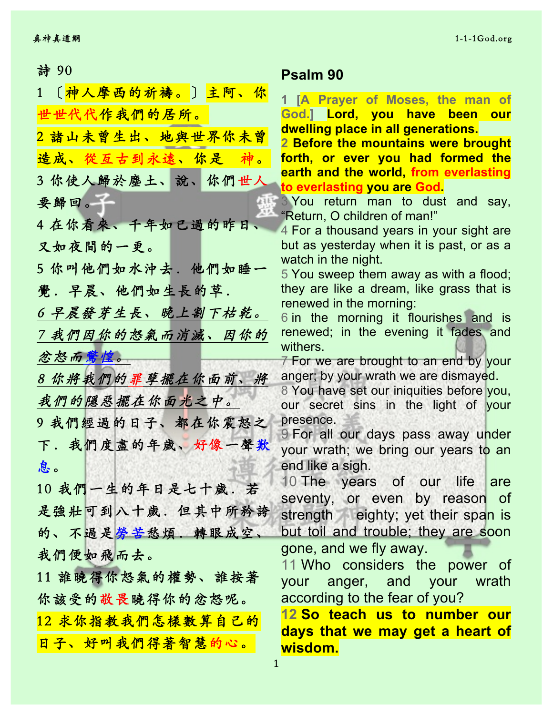| 〔神人摩西的祈禱。〕主阿、你<br>$1 -$ |                         |
|-------------------------|-------------------------|
| 世世代代作我們的居所。             | 1 <b>[A</b><br>God.]    |
|                         | dwelliı                 |
| 2 諸山未曾生出、地與世界你未曾        | 2 Befc                  |
| 造成、從亙古到永遠、你是<br>神。      | forth,                  |
| 3 你使人歸於塵土、說、你們世人        | <u>earth a</u>          |
|                         | to eve                  |
| 要歸回。                    | 3 You<br>"Returi        |
| 4 在你看來、千年如已過的昨日         | 4 For a                 |
| 又如夜間的一更。                | but as                  |
|                         | watch                   |
| 5 你叫他們如水沖去.他們如睡一        | 5 You                   |
| 覺.早晨、他們如生長的草.           | they a                  |
| 6 早晨發芽生長、晚上割下枯乾。        | <b>renew</b>            |
|                         | 6 in th<br><b>renew</b> |
| 7 我們因你的怒氣而消滅、因你的        | withers                 |
| 忿怒而驚惶。                  | $7$ For $\overline{ }$  |
| 8 你将我們的罪孽擺在你面前、將        | anger;                  |
|                         | 8 You                   |
| 我們的隱惡擺在你面光之中。           | OUI <sup>S6</sup>       |
| 9 我們經過的日子、都在你震怒之        | presen                  |
| 下. 我們度盡的年歲、好像一聲歎        | 9 For                   |
| 息。                      | your v<br>end lik       |
|                         | $10$ Th                 |
| 10 我們一生的年日是七十歲.若        | seven                   |
| 是強壯可到八十歲. 但其中所矜誇        | streng                  |
| 的、不過是勞苦愁煩、轉眼成空、         | <u>but to</u>           |
|                         | gone,                   |
| 我們便如飛而去。                | 11 Wł                   |
| 11 誰曉得你怒氣的權勢、誰按著        | your                    |
| 你該受的敬畏曉得你的忿怒呢。          | accor                   |
|                         | <u> 12 So</u>           |
| 12 求你指教我們怎樣數算自己的        | <mark>days</mark>       |
| 日子、好叫我們得著智慧的心。          | wisdo                   |
|                         |                         |

## 詩 90 **Psalm 90**

**Prayer of Moses, the man of Lord, you have been our dwelling place in all generations.**

**Pre the mountains were brought or ever you had formed the earth and the world, from everlasting to everlasting you are God.**

return man to dust and say, n. O children of man!"

a thousand years in your sight are vesterday when it is past, or as a in the night.

sweep them away as with a flood; re like a dream, like grass that is ed in the morning:

ne morning it flourishes and is ed; in the evening it fades and  $\mathbf{S}$ .

we are brought to an end by your by your wrath we are dismayed.

have set our iniquities before you, ecret sins in the light of your ce.

all our days pass away under vrath; we bring our years to an e a sigh.

e years of our life are ty, or even by reason of th eighty; yet their span is il and trouble; they are soon and we fly away.

no considers the power of anger, and your wrath ding to the fear of you?

**12 Contains to number our that we may get a heart of wisdom.**